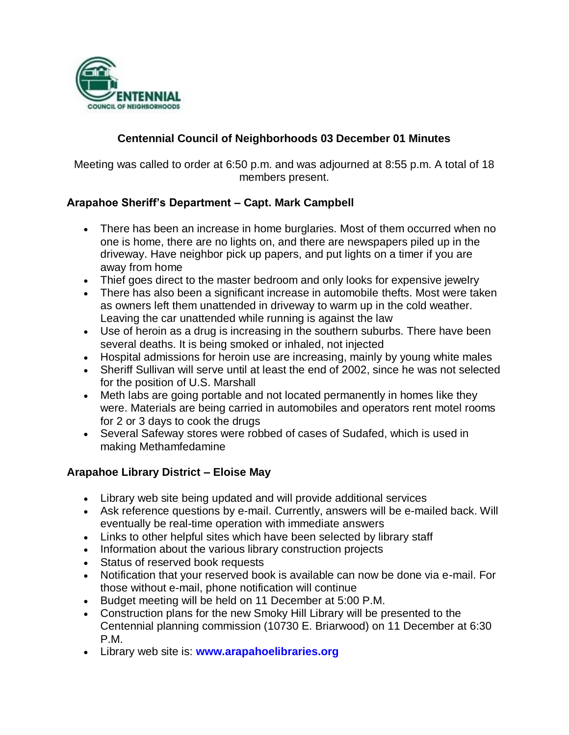

# **Centennial Council of Neighborhoods 03 December 01 Minutes**

Meeting was called to order at 6:50 p.m. and was adjourned at 8:55 p.m. A total of 18 members present.

# **Arapahoe Sheriff's Department – Capt. Mark Campbell**

- There has been an increase in home burglaries. Most of them occurred when no one is home, there are no lights on, and there are newspapers piled up in the driveway. Have neighbor pick up papers, and put lights on a timer if you are away from home
- Thief goes direct to the master bedroom and only looks for expensive jewelry
- There has also been a significant increase in automobile thefts. Most were taken as owners left them unattended in driveway to warm up in the cold weather. Leaving the car unattended while running is against the law
- Use of heroin as a drug is increasing in the southern suburbs. There have been several deaths. It is being smoked or inhaled, not injected
- Hospital admissions for heroin use are increasing, mainly by young white males
- Sheriff Sullivan will serve until at least the end of 2002, since he was not selected for the position of U.S. Marshall
- Meth labs are going portable and not located permanently in homes like they were. Materials are being carried in automobiles and operators rent motel rooms for 2 or 3 days to cook the drugs
- Several Safeway stores were robbed of cases of Sudafed, which is used in making Methamfedamine

# **Arapahoe Library District – Eloise May**

- Library web site being updated and will provide additional services
- Ask reference questions by e-mail. Currently, answers will be e-mailed back. Will eventually be real-time operation with immediate answers
- Links to other helpful sites which have been selected by library staff
- Information about the various library construction projects
- Status of reserved book requests
- Notification that your reserved book is available can now be done via e-mail. For those without e-mail, phone notification will continue
- Budget meeting will be held on 11 December at 5:00 P.M.
- Construction plans for the new Smoky Hill Library will be presented to the Centennial planning commission (10730 E. Briarwood) on 11 December at 6:30 P.M.
- Library web site is: **www.arapahoelibraries.org**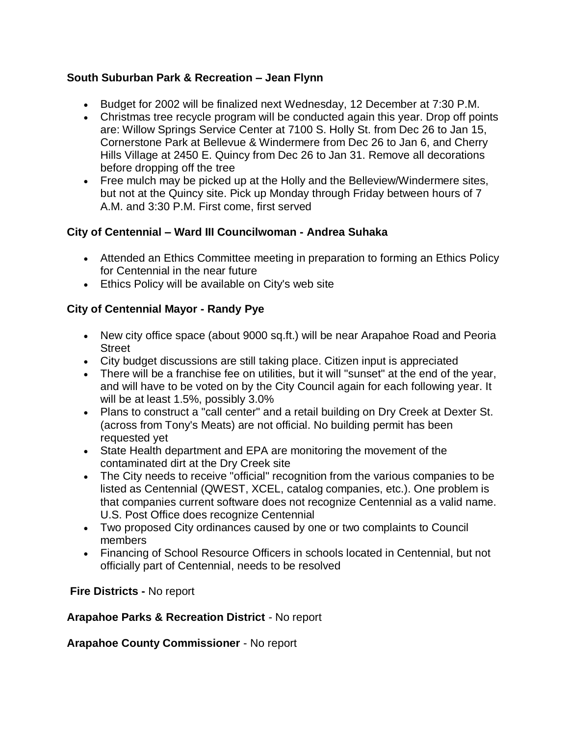## **South Suburban Park & Recreation – Jean Flynn**

- Budget for 2002 will be finalized next Wednesday, 12 December at 7:30 P.M.
- Christmas tree recycle program will be conducted again this year. Drop off points are: Willow Springs Service Center at 7100 S. Holly St. from Dec 26 to Jan 15, Cornerstone Park at Bellevue & Windermere from Dec 26 to Jan 6, and Cherry Hills Village at 2450 E. Quincy from Dec 26 to Jan 31. Remove all decorations before dropping off the tree
- Free mulch may be picked up at the Holly and the Belleview/Windermere sites, but not at the Quincy site. Pick up Monday through Friday between hours of 7 A.M. and 3:30 P.M. First come, first served

### **City of Centennial – Ward III Councilwoman - Andrea Suhaka**

- Attended an Ethics Committee meeting in preparation to forming an Ethics Policy for Centennial in the near future
- Ethics Policy will be available on City's web site

### **City of Centennial Mayor - Randy Pye**

- New city office space (about 9000 sq.ft.) will be near Arapahoe Road and Peoria **Street**
- City budget discussions are still taking place. Citizen input is appreciated
- There will be a franchise fee on utilities, but it will "sunset" at the end of the year, and will have to be voted on by the City Council again for each following year. It will be at least 1.5%, possibly 3.0%
- Plans to construct a "call center" and a retail building on Dry Creek at Dexter St. (across from Tony's Meats) are not official. No building permit has been requested yet
- State Health department and EPA are monitoring the movement of the contaminated dirt at the Dry Creek site
- The City needs to receive "official" recognition from the various companies to be listed as Centennial (QWEST, XCEL, catalog companies, etc.). One problem is that companies current software does not recognize Centennial as a valid name. U.S. Post Office does recognize Centennial
- Two proposed City ordinances caused by one or two complaints to Council members
- Financing of School Resource Officers in schools located in Centennial, but not officially part of Centennial, needs to be resolved

**Fire Districts -** No report

### **Arapahoe Parks & Recreation District** - No report

**Arapahoe County Commissioner** - No report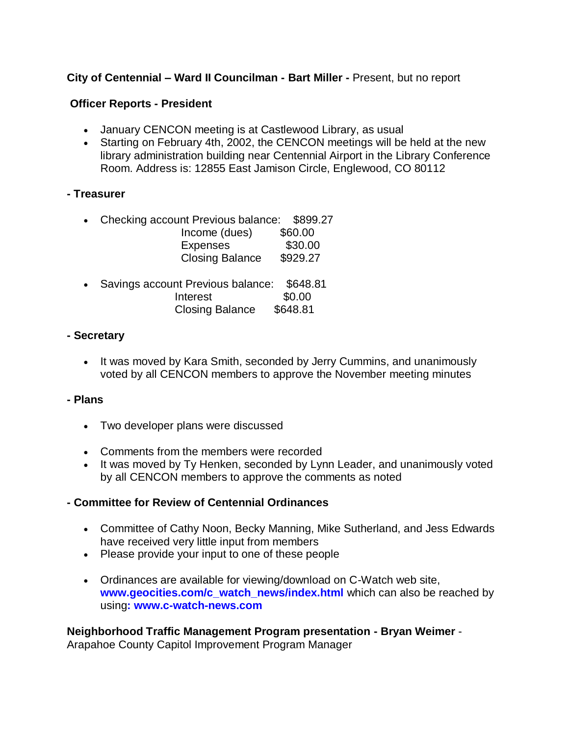## **City of Centennial – Ward II Councilman - Bart Miller -** Present, but no report

### **Officer Reports - President**

- January CENCON meeting is at Castlewood Library, as usual
- Starting on February 4th, 2002, the CENCON meetings will be held at the new library administration building near Centennial Airport in the Library Conference Room. Address is: 12855 East Jamison Circle, Englewood, CO 80112

### **- Treasurer**

- Checking account Previous balance: \$899.27 Income (dues) \$60.00 Expenses \$30.00 Closing Balance \$929.27
- Savings account Previous balance: \$648.81 Interest \$0.00 Closing Balance \$648.81

### **- Secretary**

• It was moved by Kara Smith, seconded by Jerry Cummins, and unanimously voted by all CENCON members to approve the November meeting minutes

### **- Plans**

- Two developer plans were discussed
- Comments from the members were recorded
- It was moved by Ty Henken, seconded by Lynn Leader, and unanimously voted by all CENCON members to approve the comments as noted

### **- Committee for Review of Centennial Ordinances**

- Committee of Cathy Noon, Becky Manning, Mike Sutherland, and Jess Edwards have received very little input from members
- Please provide your input to one of these people
- Ordinances are available for viewing/download on C-Watch web site, **www.geocities.com/c\_watch\_news/index.html** which can also be reached by using**: www.c-watch-news.com**

**Neighborhood Traffic Management Program presentation - Bryan Weimer** - Arapahoe County Capitol Improvement Program Manager